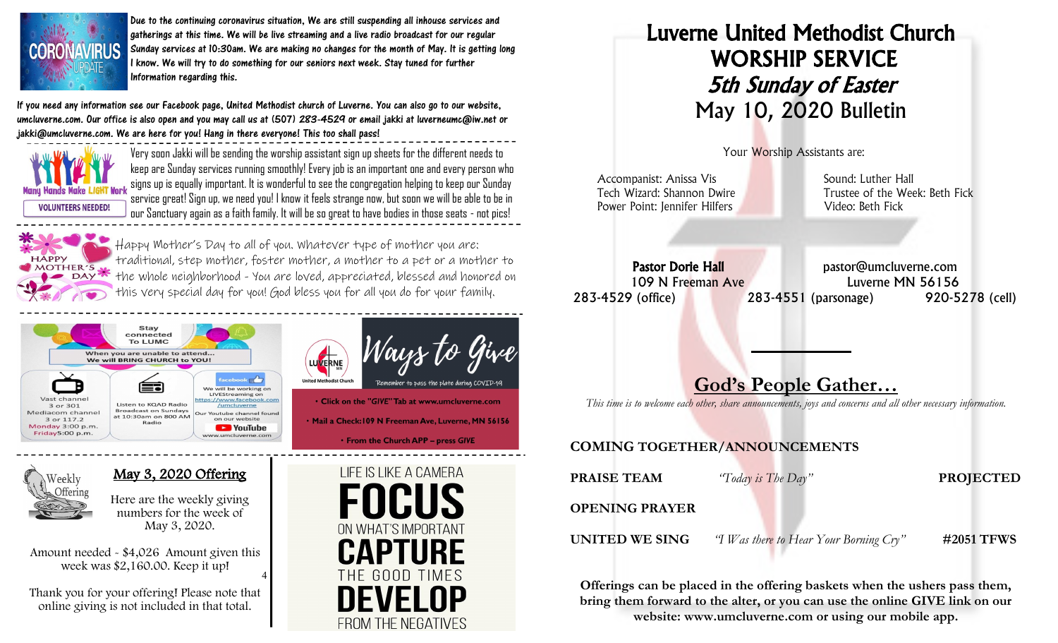

Due to the continuing coronavirus situation, We are still suspending all inhouse services and gatherings at this time. We will be live streaming and a live radio broadcast for our regular Sunday services at 10:30am. We are making no changes for the month of May. It is getting long I know. We will try to do something for our seniors next week. Stay tuned for further Information regarding this.

If you need any information see our Facebook page, United Methodist church of Luverne. You can also go to our website, umcluverne.com. Our office is also open and you may call us at (507) 283-4529 or email jakki at luverneumc@iw.net or jakki@umcluverne.com. We are here for you! Hang in there everyone! This too shall pass!



Very soon Jakki will be sending the worship assistant sign up sheets for the different needs to keep are Sunday services running smoothly! Every job is an important one and every person who signs up is equally important. It is wonderful to see the congregation helping to keep our Sunday service great! Sign up, we need you! I know it feels strange now, but soon we will be able to be in our Sanctuary again as a faith family. It will be so great to have bodies in those seats - not pics!



Happy Mother's Day to all of you. Whatever type of mother you are: traditional, step mother, foster mother, a mother to a pet or a mother to **DAY** the whole neighborhood - You are loved, appreciated, blessed and honored on this very special day for you! God bless you for all you do for your family.





May 3, 2020 Offering

Here are the weekly giving numbers for the week of May 3, 2020.

4 Amount needed - \$4,026 Amount given this week was \$2,160.00. Keep it up!

Thank you for your offering! Please note that online giving is not included in that total.



Click on the "GIVE" Tab at www.umcluverne.com . Mail a Check: 109 N Freeman Ave, Luverne, MN 56156 • From the Church APP - press GIVE





Offerings can be placed in the offering baskets when the ushers pass them, bring them forward to the alter, or you can use the online GIVE link on our website: www.umcluverne.com or using our mobile app.